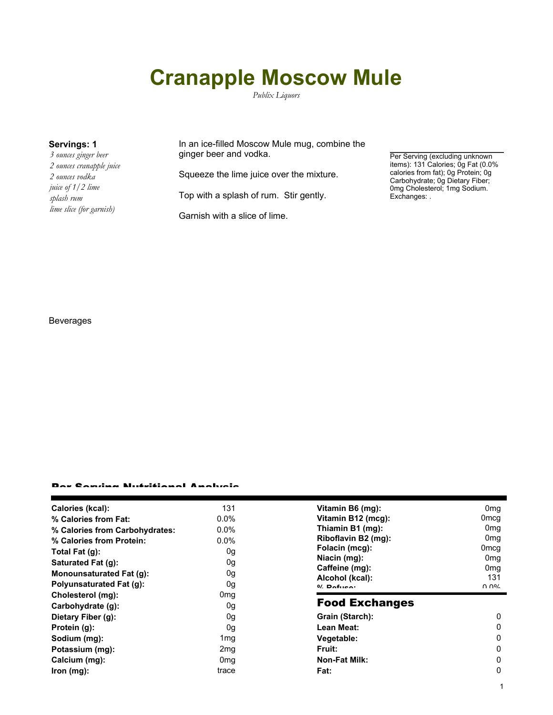# **Cranapple Moscow Mule**

*Publix Liquors*

*3 ounces ginger beer 2 ounces cranapple juice 2 ounces vodka juice of 1/2 lime splash rum lime slice (for garnish)*

**Servings: 1** In an ice-filled Moscow Mule mug, combine the ginger beer and vodka.

Squeeze the lime juice over the mixture.

Top with a splash of rum. Stir gently.

Garnish with a slice of lime.

Per Serving (excluding unknown items): 131 Calories; 0g Fat (0.0% calories from fat); 0g Protein; 0g Carbohydrate; 0g Dietary Fiber; 0mg Cholesterol; 1mg Sodium. Exchanges: .

1

### Beverages

#### Per Serving Nutritional Analysis

| Calories (kcal):                | 131             | Vitamin B6 (mg):      | 0 <sub>mq</sub> |
|---------------------------------|-----------------|-----------------------|-----------------|
| % Calories from Fat:            | $0.0\%$         | Vitamin B12 (mcg):    | 0mcq            |
| % Calories from Carbohydrates:  | $0.0\%$         | Thiamin B1 (mg):      | 0 <sub>mq</sub> |
| % Calories from Protein:        | $0.0\%$         | Riboflavin B2 (mg):   | 0 <sub>mg</sub> |
| Total Fat (g):                  | 0g              | Folacin (mcg):        | 0mcq            |
| Saturated Fat (g):              | 0g              | Niacin (mg):          | 0 <sub>mq</sub> |
| Monounsaturated Fat (g):        | 0g              | Caffeine (mg):        | 0 <sub>mg</sub> |
|                                 |                 | Alcohol (kcal):       | 131             |
| <b>Polyunsaturated Fat (g):</b> | 0g              | $0/2$ Pofileon        | በ በ%            |
| Cholesterol (mg):               | 0mg             |                       |                 |
| Carbohydrate (g):               | 0g              | <b>Food Exchanges</b> |                 |
| Dietary Fiber (g):              | 0g              | Grain (Starch):       | $\mathbf{0}$    |
| Protein (g):                    | 0g              | Lean Meat:            | $\mathbf{0}$    |
| Sodium (mg):                    | 1mg             | Vegetable:            | $\mathbf{0}$    |
| Potassium (mg):                 | 2mg             | Fruit:                | $\mathbf{0}$    |
| Calcium (mg):                   | 0 <sub>mg</sub> | <b>Non-Fat Milk:</b>  | $\Omega$        |
| lron (mg):                      | trace           | Fat:                  | 0               |